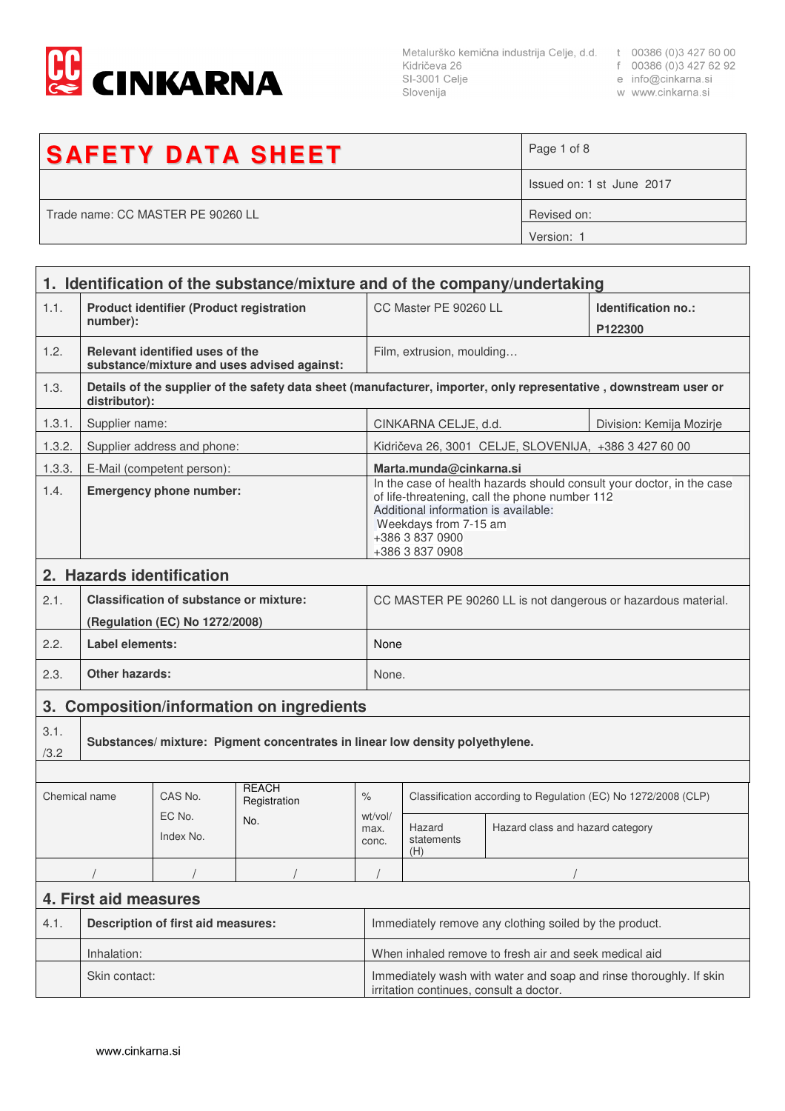

Metalurško kemična industrija Celje, d.d. t 00386 (0)3 427 60 00<br>Kidričeva 26 f 00386 (0)3 427 62 92<br>SI-3001 Celje e info@cinkarna.si<br>Slovenija w www.cinkarna.si Slovenija

- 
- 
- w www.cinkarna.si

| <b>SAFETY DATA SHEET</b>          | Page 1 of 8               |
|-----------------------------------|---------------------------|
|                                   | Issued on: 1 st June 2017 |
| Trade name: CC MASTER PE 90260 LL | Revised on:               |
|                                   | Version: 1                |

|               | 1. Identification of the substance/mixture and of the company/undertaking     |                                                                           |                                             |                                                                                                                                                                                                                                |                                                                |                                                       |                                                                                                                   |  |
|---------------|-------------------------------------------------------------------------------|---------------------------------------------------------------------------|---------------------------------------------|--------------------------------------------------------------------------------------------------------------------------------------------------------------------------------------------------------------------------------|----------------------------------------------------------------|-------------------------------------------------------|-------------------------------------------------------------------------------------------------------------------|--|
| 1.1.          | <b>Product identifier (Product registration</b><br>number):                   |                                                                           |                                             | CC Master PE 90260 LL                                                                                                                                                                                                          |                                                                | Identification no.:<br>P122300                        |                                                                                                                   |  |
| 1.2.          |                                                                               | Relevant identified uses of the                                           | substance/mixture and uses advised against: |                                                                                                                                                                                                                                | Film, extrusion, moulding                                      |                                                       |                                                                                                                   |  |
| 1.3.          | distributor):                                                                 |                                                                           |                                             |                                                                                                                                                                                                                                |                                                                |                                                       | Details of the supplier of the safety data sheet (manufacturer, importer, only representative, downstream user or |  |
| 1.3.1.        | Supplier name:                                                                |                                                                           |                                             |                                                                                                                                                                                                                                | CINKARNA CELJE, d.d.<br>Division: Kemija Mozirje               |                                                       |                                                                                                                   |  |
| 1.3.2.        |                                                                               | Supplier address and phone:                                               |                                             |                                                                                                                                                                                                                                |                                                                | Kidričeva 26, 3001 CELJE, SLOVENIJA, +386 3 427 60 00 |                                                                                                                   |  |
| 1.3.3.        |                                                                               | E-Mail (competent person):                                                |                                             |                                                                                                                                                                                                                                | Marta.munda@cinkarna.si                                        |                                                       |                                                                                                                   |  |
| 1.4.          | <b>Emergency phone number:</b>                                                |                                                                           |                                             | In the case of health hazards should consult your doctor, in the case<br>of life-threatening, call the phone number 112<br>Additional information is available:<br>Weekdays from 7-15 am<br>+386 3 837 0900<br>+386 3 837 0908 |                                                                |                                                       |                                                                                                                   |  |
|               |                                                                               | 2. Hazards identification                                                 |                                             |                                                                                                                                                                                                                                |                                                                |                                                       |                                                                                                                   |  |
| 2.1.          |                                                                               | Classification of substance or mixture:<br>(Regulation (EC) No 1272/2008) |                                             |                                                                                                                                                                                                                                | CC MASTER PE 90260 LL is not dangerous or hazardous material.  |                                                       |                                                                                                                   |  |
| 2.2.          | Label elements:                                                               |                                                                           |                                             |                                                                                                                                                                                                                                | None                                                           |                                                       |                                                                                                                   |  |
| 2.3.          | <b>Other hazards:</b>                                                         |                                                                           |                                             |                                                                                                                                                                                                                                | None.                                                          |                                                       |                                                                                                                   |  |
| 3.            | <b>Composition/information on ingredients</b>                                 |                                                                           |                                             |                                                                                                                                                                                                                                |                                                                |                                                       |                                                                                                                   |  |
| 3.1.<br>/3.2  | Substances/ mixture: Pigment concentrates in linear low density polyethylene. |                                                                           |                                             |                                                                                                                                                                                                                                |                                                                |                                                       |                                                                                                                   |  |
|               |                                                                               |                                                                           |                                             |                                                                                                                                                                                                                                |                                                                |                                                       |                                                                                                                   |  |
| Chemical name |                                                                               | CAS No.                                                                   | <b>REACH</b><br>Registration                | $\%$                                                                                                                                                                                                                           | Classification according to Regulation (EC) No 1272/2008 (CLP) |                                                       |                                                                                                                   |  |
|               | EC No.<br>No.<br>Index No.                                                    |                                                                           | wt/vol/<br>max.<br>conc.                    | Hazard<br>statements<br>(H)                                                                                                                                                                                                    | Hazard class and hazard category                               |                                                       |                                                                                                                   |  |
|               |                                                                               |                                                                           |                                             |                                                                                                                                                                                                                                |                                                                |                                                       |                                                                                                                   |  |
|               | 4. First aid measures                                                         |                                                                           |                                             |                                                                                                                                                                                                                                |                                                                |                                                       |                                                                                                                   |  |
| 4.1.          | <b>Description of first aid measures:</b>                                     |                                                                           |                                             | Immediately remove any clothing soiled by the product.                                                                                                                                                                         |                                                                |                                                       |                                                                                                                   |  |
|               | Inhalation:                                                                   |                                                                           |                                             | When inhaled remove to fresh air and seek medical aid                                                                                                                                                                          |                                                                |                                                       |                                                                                                                   |  |
|               | Skin contact:                                                                 |                                                                           |                                             | Immediately wash with water and soap and rinse thoroughly. If skin<br>irritation continues, consult a doctor.                                                                                                                  |                                                                |                                                       |                                                                                                                   |  |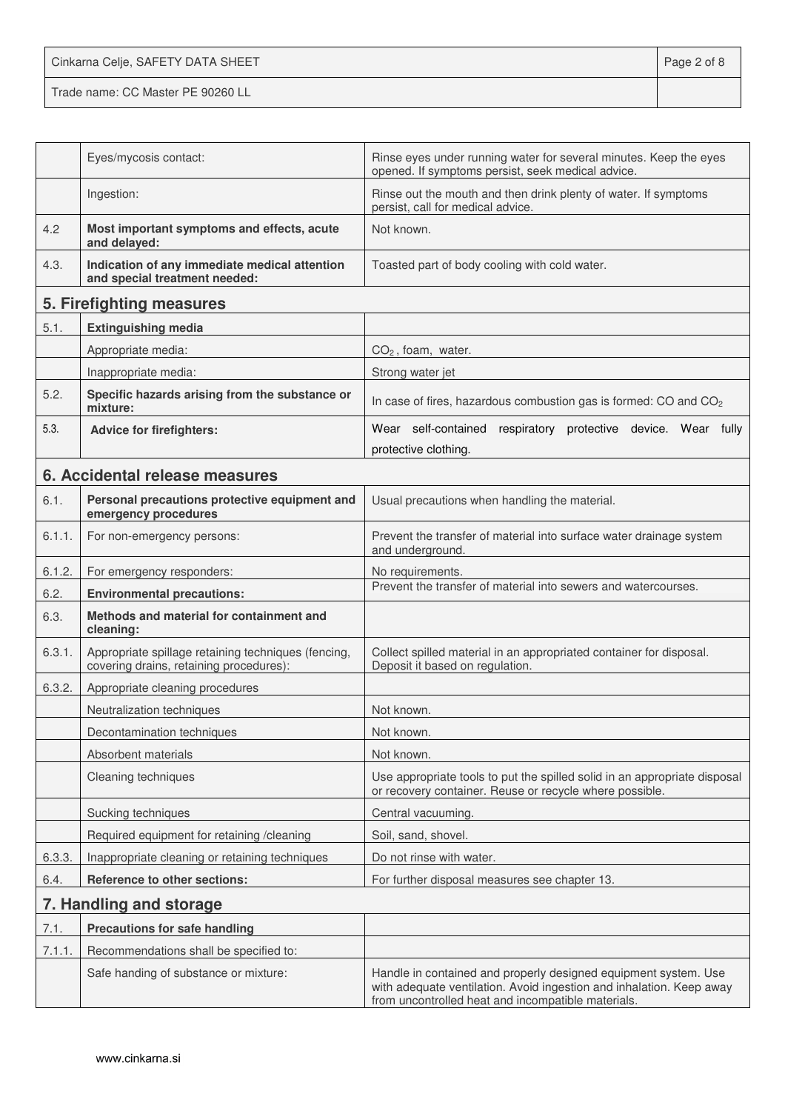Cinkarna Celje, SAFETY DATA SHEET **Page 2 of 8** Trade name: CC Master PE 90260 LL

|        | Eyes/mycosis contact:                                                                          | Rinse eyes under running water for several minutes. Keep the eyes<br>opened. If symptoms persist, seek medical advice.                                                                        |
|--------|------------------------------------------------------------------------------------------------|-----------------------------------------------------------------------------------------------------------------------------------------------------------------------------------------------|
|        | Ingestion:                                                                                     | Rinse out the mouth and then drink plenty of water. If symptoms<br>persist, call for medical advice.                                                                                          |
| 4.2    | Most important symptoms and effects, acute<br>and delayed:                                     | Not known.                                                                                                                                                                                    |
| 4.3.   | Indication of any immediate medical attention<br>and special treatment needed:                 | Toasted part of body cooling with cold water.                                                                                                                                                 |
|        | 5. Firefighting measures                                                                       |                                                                                                                                                                                               |
| 5.1.   | <b>Extinguishing media</b>                                                                     |                                                                                                                                                                                               |
|        | Appropriate media:                                                                             | $CO2$ , foam, water.                                                                                                                                                                          |
|        | Inappropriate media:                                                                           | Strong water jet                                                                                                                                                                              |
| 5.2.   | Specific hazards arising from the substance or<br>mixture:                                     | In case of fires, hazardous combustion gas is formed: CO and CO <sub>2</sub>                                                                                                                  |
| 5.3.   | <b>Advice for firefighters:</b>                                                                | Wear self-contained respiratory protective device. Wear fully                                                                                                                                 |
|        |                                                                                                | protective clothing.                                                                                                                                                                          |
|        | 6. Accidental release measures                                                                 |                                                                                                                                                                                               |
| 6.1.   | Personal precautions protective equipment and<br>emergency procedures                          | Usual precautions when handling the material.                                                                                                                                                 |
| 6.1.1. | For non-emergency persons:                                                                     | Prevent the transfer of material into surface water drainage system<br>and underground.                                                                                                       |
| 6.1.2. | For emergency responders:                                                                      | No requirements.                                                                                                                                                                              |
| 6.2.   | <b>Environmental precautions:</b>                                                              | Prevent the transfer of material into sewers and watercourses.                                                                                                                                |
| 6.3.   | Methods and material for containment and<br>cleaning:                                          |                                                                                                                                                                                               |
| 6.3.1. | Appropriate spillage retaining techniques (fencing,<br>covering drains, retaining procedures): | Collect spilled material in an appropriated container for disposal.<br>Deposit it based on regulation.                                                                                        |
| 6.3.2. | Appropriate cleaning procedures                                                                |                                                                                                                                                                                               |
|        | Neutralization techniques                                                                      | Not known.                                                                                                                                                                                    |
|        | Decontamination techniques                                                                     | Not known.                                                                                                                                                                                    |
|        | Absorbent materials                                                                            | Not known.                                                                                                                                                                                    |
|        | Cleaning techniques                                                                            | Use appropriate tools to put the spilled solid in an appropriate disposal<br>or recovery container. Reuse or recycle where possible.                                                          |
|        | Sucking techniques                                                                             | Central vacuuming.                                                                                                                                                                            |
|        | Required equipment for retaining /cleaning                                                     | Soil, sand, shovel.                                                                                                                                                                           |
| 6.3.3. | Inappropriate cleaning or retaining techniques                                                 | Do not rinse with water.                                                                                                                                                                      |
| 6.4.   | <b>Reference to other sections:</b>                                                            | For further disposal measures see chapter 13.                                                                                                                                                 |
|        | 7. Handling and storage                                                                        |                                                                                                                                                                                               |
| 7.1.   | <b>Precautions for safe handling</b>                                                           |                                                                                                                                                                                               |
| 7.1.1. | Recommendations shall be specified to:                                                         |                                                                                                                                                                                               |
|        | Safe handing of substance or mixture:                                                          | Handle in contained and properly designed equipment system. Use<br>with adequate ventilation. Avoid ingestion and inhalation. Keep away<br>from uncontrolled heat and incompatible materials. |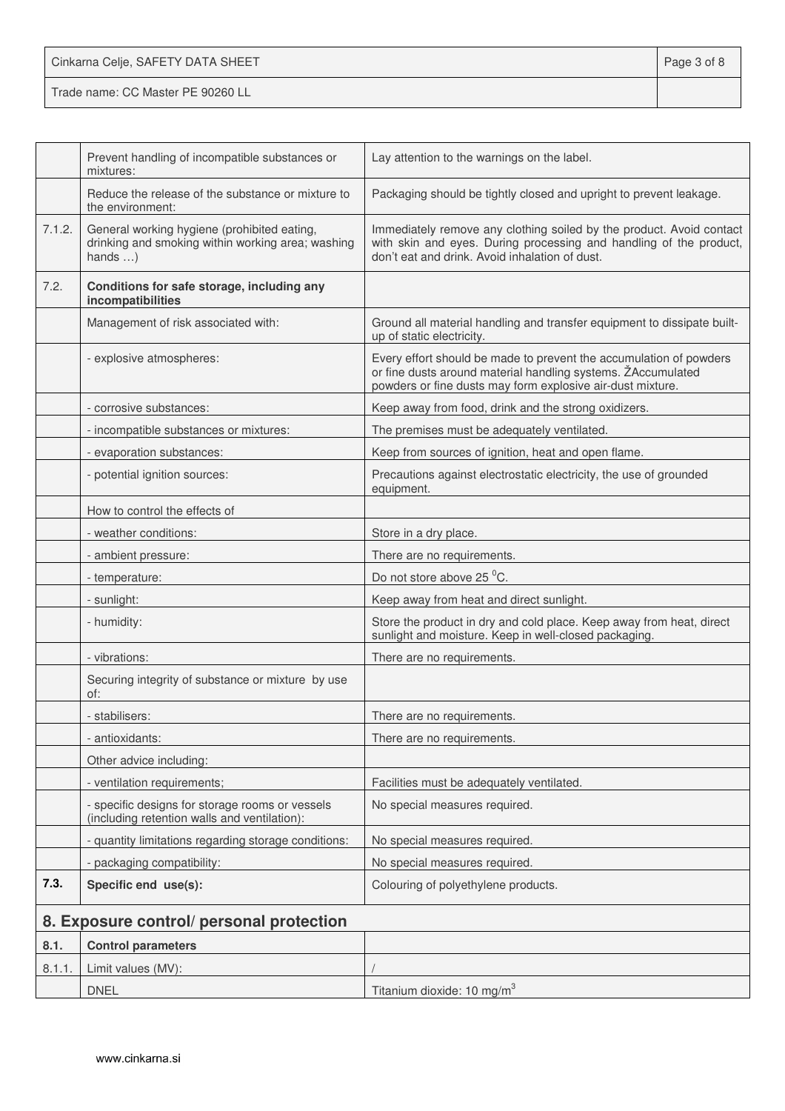| Cinkarna Celje, SAFETY DATA SHEET | Page 3 of 8 |
|-----------------------------------|-------------|
| Trade name: CC Master PE 90260 LL |             |

|        | Prevent handling of incompatible substances or<br>mixtures:                                                         | Lay attention to the warnings on the label.                                                                                                                                                      |
|--------|---------------------------------------------------------------------------------------------------------------------|--------------------------------------------------------------------------------------------------------------------------------------------------------------------------------------------------|
|        | Reduce the release of the substance or mixture to<br>the environment:                                               | Packaging should be tightly closed and upright to prevent leakage.                                                                                                                               |
| 7.1.2. | General working hygiene (prohibited eating,<br>drinking and smoking within working area; washing<br>hands $\dots$ ) | Immediately remove any clothing soiled by the product. Avoid contact<br>with skin and eyes. During processing and handling of the product,<br>don't eat and drink. Avoid inhalation of dust.     |
| 7.2.   | Conditions for safe storage, including any<br>incompatibilities                                                     |                                                                                                                                                                                                  |
|        | Management of risk associated with:                                                                                 | Ground all material handling and transfer equipment to dissipate built-<br>up of static electricity.                                                                                             |
|        | - explosive atmospheres:                                                                                            | Every effort should be made to prevent the accumulation of powders<br>or fine dusts around material handling systems. ŽAccumulated<br>powders or fine dusts may form explosive air-dust mixture. |
|        | - corrosive substances:                                                                                             | Keep away from food, drink and the strong oxidizers.                                                                                                                                             |
|        | - incompatible substances or mixtures:                                                                              | The premises must be adequately ventilated.                                                                                                                                                      |
|        | - evaporation substances:                                                                                           | Keep from sources of ignition, heat and open flame.                                                                                                                                              |
|        | - potential ignition sources:                                                                                       | Precautions against electrostatic electricity, the use of grounded<br>equipment.                                                                                                                 |
|        | How to control the effects of                                                                                       |                                                                                                                                                                                                  |
|        | - weather conditions:                                                                                               | Store in a dry place.                                                                                                                                                                            |
|        | - ambient pressure:                                                                                                 | There are no requirements.                                                                                                                                                                       |
|        | - temperature:                                                                                                      | Do not store above 25 °C.                                                                                                                                                                        |
|        | - sunlight:                                                                                                         | Keep away from heat and direct sunlight.                                                                                                                                                         |
|        | - humidity:                                                                                                         | Store the product in dry and cold place. Keep away from heat, direct<br>sunlight and moisture. Keep in well-closed packaging.                                                                    |
|        | - vibrations:                                                                                                       | There are no requirements.                                                                                                                                                                       |
|        | Securing integrity of substance or mixture by use<br>of:                                                            |                                                                                                                                                                                                  |
|        | - stabilisers:                                                                                                      | There are no requirements.                                                                                                                                                                       |
|        | - antioxidants:                                                                                                     | There are no requirements.                                                                                                                                                                       |
|        | Other advice including:                                                                                             |                                                                                                                                                                                                  |
|        | - ventilation requirements;                                                                                         | Facilities must be adequately ventilated.                                                                                                                                                        |
|        | - specific designs for storage rooms or vessels<br>(including retention walls and ventilation):                     | No special measures required.                                                                                                                                                                    |
|        | - quantity limitations regarding storage conditions:                                                                | No special measures required.                                                                                                                                                                    |
|        | - packaging compatibility:                                                                                          | No special measures required.                                                                                                                                                                    |
| 7.3.   | Specific end use(s):                                                                                                | Colouring of polyethylene products.                                                                                                                                                              |
|        | 8. Exposure control/ personal protection                                                                            |                                                                                                                                                                                                  |
| 8.1.   | <b>Control parameters</b>                                                                                           |                                                                                                                                                                                                  |
| 8.1.1. | Limit values (MV):                                                                                                  |                                                                                                                                                                                                  |
|        | <b>DNEL</b>                                                                                                         | Titanium dioxide: 10 mg/m <sup>3</sup>                                                                                                                                                           |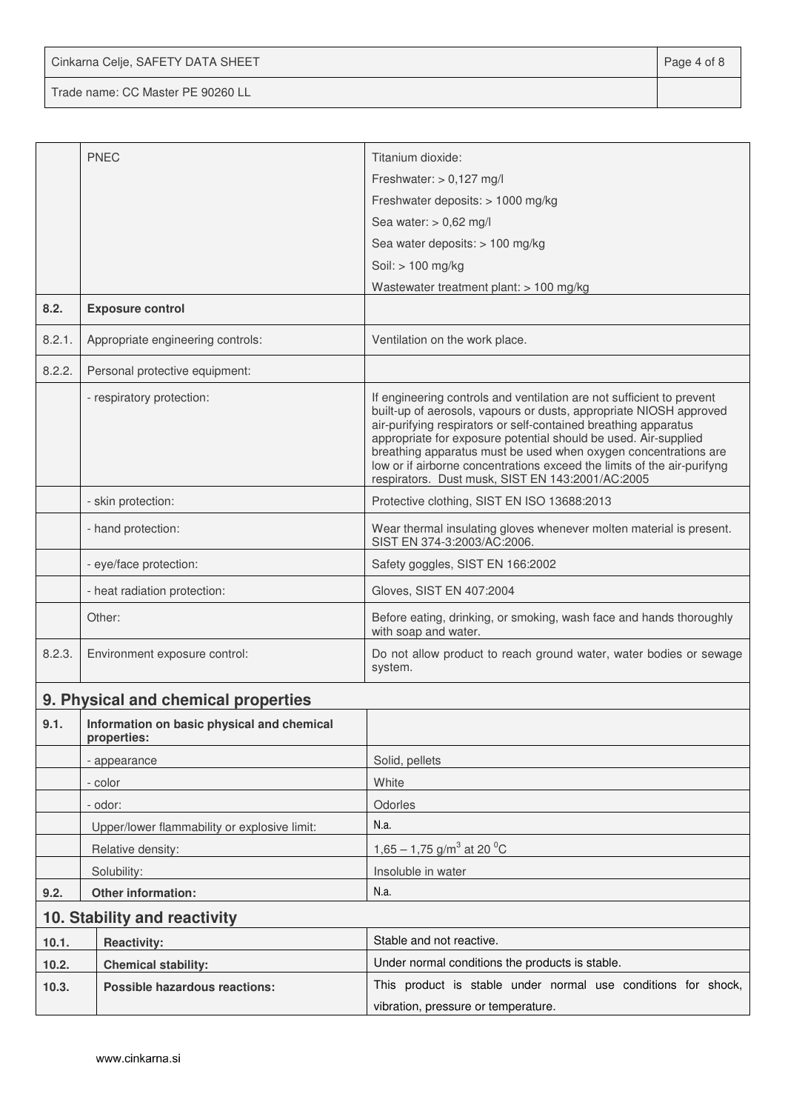Cinkarna Celje, SAFETY DATA SHEET **Page 4 of 8** 

Trade name: CC Master PE 90260 LL

|        | <b>PNEC</b>                                               | Titanium dioxide:                                                                                                                                                                                                                                                                                                                                                                                                                                                                   |
|--------|-----------------------------------------------------------|-------------------------------------------------------------------------------------------------------------------------------------------------------------------------------------------------------------------------------------------------------------------------------------------------------------------------------------------------------------------------------------------------------------------------------------------------------------------------------------|
|        |                                                           | Freshwater: $> 0,127$ mg/l                                                                                                                                                                                                                                                                                                                                                                                                                                                          |
|        |                                                           | Freshwater deposits: > 1000 mg/kg                                                                                                                                                                                                                                                                                                                                                                                                                                                   |
|        |                                                           | Sea water: $> 0,62$ mg/l                                                                                                                                                                                                                                                                                                                                                                                                                                                            |
|        |                                                           | Sea water deposits: > 100 mg/kg                                                                                                                                                                                                                                                                                                                                                                                                                                                     |
|        |                                                           | Soil: > 100 mg/kg                                                                                                                                                                                                                                                                                                                                                                                                                                                                   |
|        |                                                           | Wastewater treatment plant: $> 100$ mg/kg                                                                                                                                                                                                                                                                                                                                                                                                                                           |
| 8.2.   | <b>Exposure control</b>                                   |                                                                                                                                                                                                                                                                                                                                                                                                                                                                                     |
| 8.2.1. | Appropriate engineering controls:                         | Ventilation on the work place.                                                                                                                                                                                                                                                                                                                                                                                                                                                      |
| 8.2.2. | Personal protective equipment:                            |                                                                                                                                                                                                                                                                                                                                                                                                                                                                                     |
|        | - respiratory protection:                                 | If engineering controls and ventilation are not sufficient to prevent<br>built-up of aerosols, vapours or dusts, appropriate NIOSH approved<br>air-purifying respirators or self-contained breathing apparatus<br>appropriate for exposure potential should be used. Air-supplied<br>breathing apparatus must be used when oxygen concentrations are<br>low or if airborne concentrations exceed the limits of the air-purifyng<br>respirators. Dust musk, SIST EN 143:2001/AC:2005 |
|        | - skin protection:                                        | Protective clothing, SIST EN ISO 13688:2013                                                                                                                                                                                                                                                                                                                                                                                                                                         |
|        | - hand protection:                                        | Wear thermal insulating gloves whenever molten material is present.<br>SIST EN 374-3:2003/AC:2006.                                                                                                                                                                                                                                                                                                                                                                                  |
|        | - eye/face protection:                                    | Safety goggles, SIST EN 166:2002                                                                                                                                                                                                                                                                                                                                                                                                                                                    |
|        | - heat radiation protection:                              | Gloves, SIST EN 407:2004                                                                                                                                                                                                                                                                                                                                                                                                                                                            |
|        | Other:                                                    | Before eating, drinking, or smoking, wash face and hands thoroughly<br>with soap and water.                                                                                                                                                                                                                                                                                                                                                                                         |
| 8.2.3. | Environment exposure control:                             | Do not allow product to reach ground water, water bodies or sewage<br>system.                                                                                                                                                                                                                                                                                                                                                                                                       |
|        | 9. Physical and chemical properties                       |                                                                                                                                                                                                                                                                                                                                                                                                                                                                                     |
| 9.1.   | Information on basic physical and chemical<br>properties: |                                                                                                                                                                                                                                                                                                                                                                                                                                                                                     |
|        | - appearance                                              | Solid, pellets                                                                                                                                                                                                                                                                                                                                                                                                                                                                      |
|        | - color                                                   | White                                                                                                                                                                                                                                                                                                                                                                                                                                                                               |
|        | - odor:                                                   | Odorles                                                                                                                                                                                                                                                                                                                                                                                                                                                                             |
|        | Upper/lower flammability or explosive limit:              | N.a.                                                                                                                                                                                                                                                                                                                                                                                                                                                                                |
|        | Relative density:                                         | 1,65 – 1,75 g/m <sup>3</sup> at 20 <sup>o</sup> C                                                                                                                                                                                                                                                                                                                                                                                                                                   |
|        | Solubility:                                               | Insoluble in water                                                                                                                                                                                                                                                                                                                                                                                                                                                                  |
| 9.2.   | Other information:                                        | N.a.                                                                                                                                                                                                                                                                                                                                                                                                                                                                                |
|        | 10. Stability and reactivity                              |                                                                                                                                                                                                                                                                                                                                                                                                                                                                                     |
| 10.1.  | <b>Reactivity:</b>                                        | Stable and not reactive.                                                                                                                                                                                                                                                                                                                                                                                                                                                            |
| 10.2.  | <b>Chemical stability:</b>                                | Under normal conditions the products is stable.                                                                                                                                                                                                                                                                                                                                                                                                                                     |
| 10.3.  | <b>Possible hazardous reactions:</b>                      | This product is stable under normal use conditions for shock,                                                                                                                                                                                                                                                                                                                                                                                                                       |
|        |                                                           | vibration, pressure or temperature.                                                                                                                                                                                                                                                                                                                                                                                                                                                 |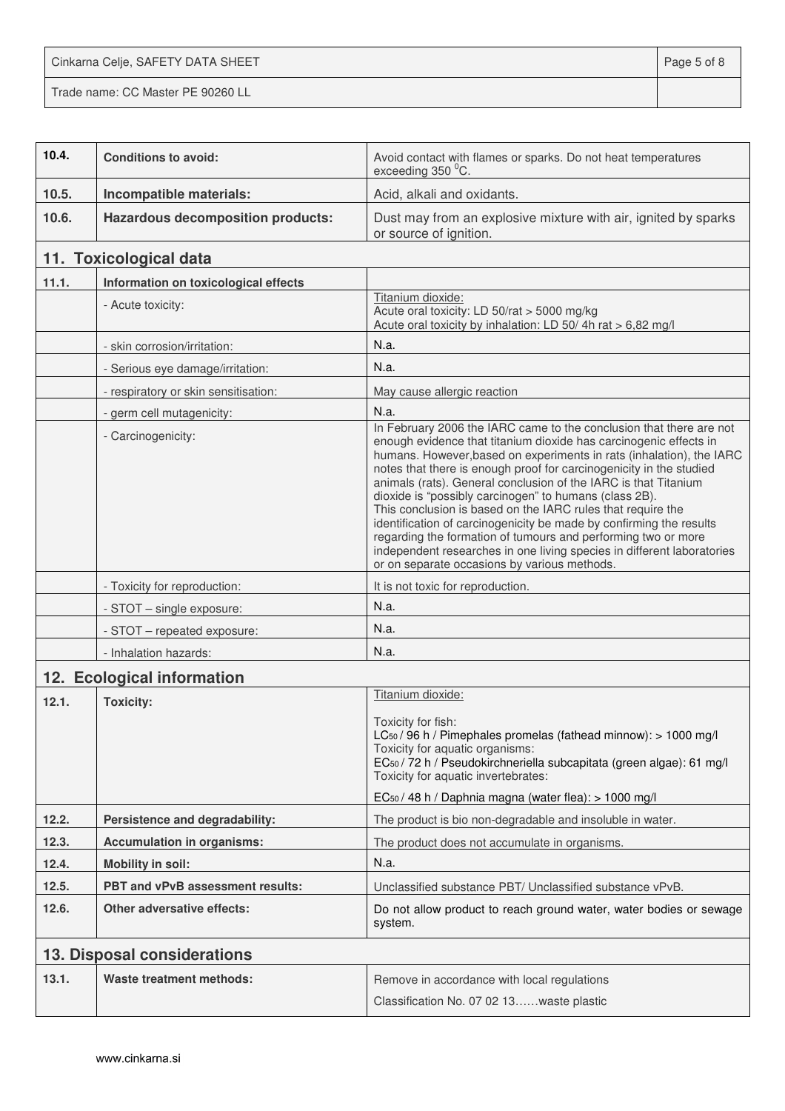Cinkarna Celje, SAFETY DATA SHEET **Page 5 of 8** Trade name: CC Master PE 90260 LL

| 10.4. | <b>Conditions to avoid:</b>              | Avoid contact with flames or sparks. Do not heat temperatures<br>exceeding 350 °C.                                                                                                                                                                                                                                                                                                                                                                                                                                                                                                                                                                                                                                                                    |
|-------|------------------------------------------|-------------------------------------------------------------------------------------------------------------------------------------------------------------------------------------------------------------------------------------------------------------------------------------------------------------------------------------------------------------------------------------------------------------------------------------------------------------------------------------------------------------------------------------------------------------------------------------------------------------------------------------------------------------------------------------------------------------------------------------------------------|
| 10.5. | Incompatible materials:                  | Acid, alkali and oxidants.                                                                                                                                                                                                                                                                                                                                                                                                                                                                                                                                                                                                                                                                                                                            |
| 10.6. | <b>Hazardous decomposition products:</b> | Dust may from an explosive mixture with air, ignited by sparks<br>or source of ignition.                                                                                                                                                                                                                                                                                                                                                                                                                                                                                                                                                                                                                                                              |
|       | 11. Toxicological data                   |                                                                                                                                                                                                                                                                                                                                                                                                                                                                                                                                                                                                                                                                                                                                                       |
| 11.1. | Information on toxicological effects     |                                                                                                                                                                                                                                                                                                                                                                                                                                                                                                                                                                                                                                                                                                                                                       |
|       | - Acute toxicity:                        | Titanium dioxide:<br>Acute oral toxicity: LD 50/rat > 5000 mg/kg<br>Acute oral toxicity by inhalation: LD 50/4h rat > 6,82 mg/l                                                                                                                                                                                                                                                                                                                                                                                                                                                                                                                                                                                                                       |
|       | - skin corrosion/irritation:             | N.a.                                                                                                                                                                                                                                                                                                                                                                                                                                                                                                                                                                                                                                                                                                                                                  |
|       | - Serious eye damage/irritation:         | N.a.                                                                                                                                                                                                                                                                                                                                                                                                                                                                                                                                                                                                                                                                                                                                                  |
|       | - respiratory or skin sensitisation:     | May cause allergic reaction                                                                                                                                                                                                                                                                                                                                                                                                                                                                                                                                                                                                                                                                                                                           |
|       | - germ cell mutagenicity:                | N.a.                                                                                                                                                                                                                                                                                                                                                                                                                                                                                                                                                                                                                                                                                                                                                  |
|       | - Carcinogenicity:                       | In February 2006 the IARC came to the conclusion that there are not<br>enough evidence that titanium dioxide has carcinogenic effects in<br>humans. However, based on experiments in rats (inhalation), the IARC<br>notes that there is enough proof for carcinogenicity in the studied<br>animals (rats). General conclusion of the IARC is that Titanium<br>dioxide is "possibly carcinogen" to humans (class 2B).<br>This conclusion is based on the IARC rules that require the<br>identification of carcinogenicity be made by confirming the results<br>regarding the formation of tumours and performing two or more<br>independent researches in one living species in different laboratories<br>or on separate occasions by various methods. |
|       | - Toxicity for reproduction:             | It is not toxic for reproduction.                                                                                                                                                                                                                                                                                                                                                                                                                                                                                                                                                                                                                                                                                                                     |
|       | - STOT - single exposure:                | N.a.                                                                                                                                                                                                                                                                                                                                                                                                                                                                                                                                                                                                                                                                                                                                                  |
|       | - STOT - repeated exposure:              | N.a.                                                                                                                                                                                                                                                                                                                                                                                                                                                                                                                                                                                                                                                                                                                                                  |
|       | - Inhalation hazards:                    | N.a.                                                                                                                                                                                                                                                                                                                                                                                                                                                                                                                                                                                                                                                                                                                                                  |
|       | 12. Ecological information               |                                                                                                                                                                                                                                                                                                                                                                                                                                                                                                                                                                                                                                                                                                                                                       |
| 12.1. | <b>Toxicity:</b>                         | Titanium dioxide:<br>Toxicity for fish:<br>LC <sub>50</sub> / 96 h / Pimephales promelas (fathead minnow): > 1000 mg/l<br>Toxicity for aquatic organisms:<br>EC <sub>50</sub> / 72 h / Pseudokirchneriella subcapitata (green algae): 61 mg/l<br>Toxicity for aquatic invertebrates:<br>EC <sub>50</sub> / 48 h / Daphnia magna (water flea): > 1000 mg/l                                                                                                                                                                                                                                                                                                                                                                                             |
| 12.2. | Persistence and degradability:           | The product is bio non-degradable and insoluble in water.                                                                                                                                                                                                                                                                                                                                                                                                                                                                                                                                                                                                                                                                                             |
| 12.3. | <b>Accumulation in organisms:</b>        | The product does not accumulate in organisms.                                                                                                                                                                                                                                                                                                                                                                                                                                                                                                                                                                                                                                                                                                         |
| 12.4. | <b>Mobility in soil:</b>                 | N.a.                                                                                                                                                                                                                                                                                                                                                                                                                                                                                                                                                                                                                                                                                                                                                  |
| 12.5. | PBT and vPvB assessment results:         | Unclassified substance PBT/ Unclassified substance vPvB.                                                                                                                                                                                                                                                                                                                                                                                                                                                                                                                                                                                                                                                                                              |
| 12.6. | <b>Other adversative effects:</b>        | Do not allow product to reach ground water, water bodies or sewage<br>system.                                                                                                                                                                                                                                                                                                                                                                                                                                                                                                                                                                                                                                                                         |
|       | 13. Disposal considerations              |                                                                                                                                                                                                                                                                                                                                                                                                                                                                                                                                                                                                                                                                                                                                                       |
| 13.1. | <b>Waste treatment methods:</b>          | Remove in accordance with local regulations<br>Classification No. 07 02 13waste plastic                                                                                                                                                                                                                                                                                                                                                                                                                                                                                                                                                                                                                                                               |
|       |                                          |                                                                                                                                                                                                                                                                                                                                                                                                                                                                                                                                                                                                                                                                                                                                                       |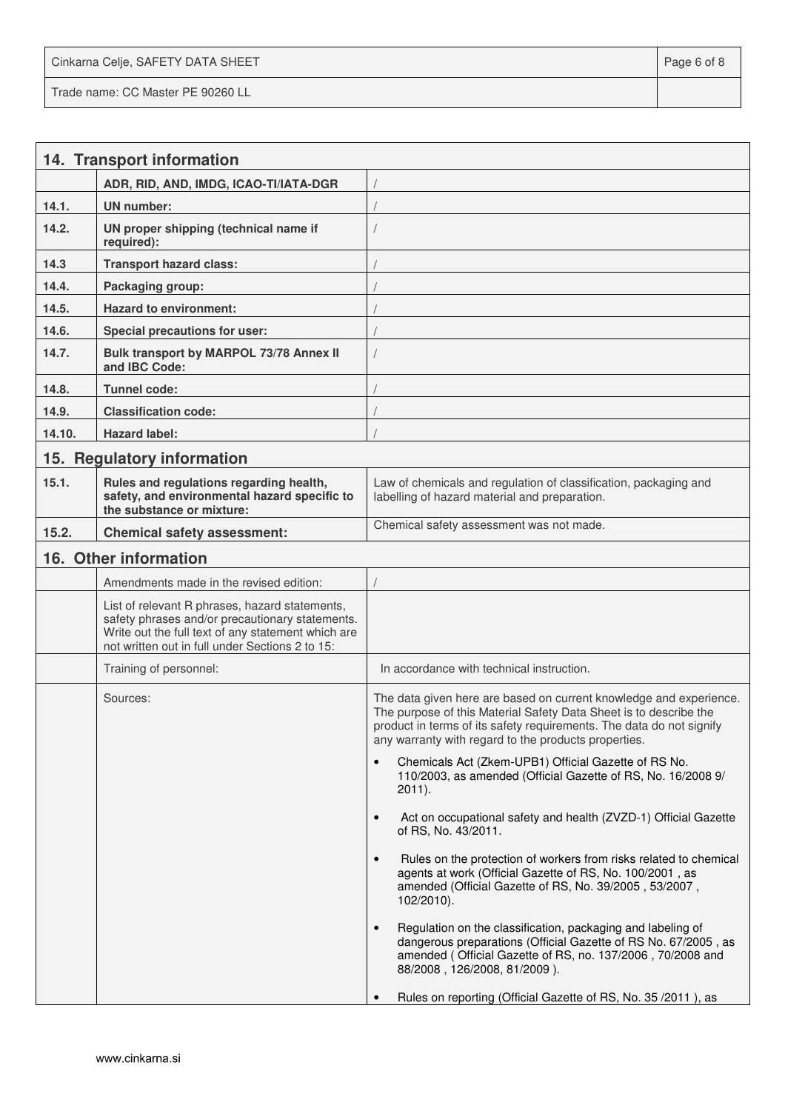Cinkarna Celje, SAFETY DATA SHEET **Page 6 of 8** and 2011 12 and 2012 12 and 2012 12 and 2012 12 and 2012 12 and 201 Trade name: CC Master PE 90260 LL

|        | 14. Transport information                                                                                                                                                                                  |                                                                                                                                                                                                                                                                         |
|--------|------------------------------------------------------------------------------------------------------------------------------------------------------------------------------------------------------------|-------------------------------------------------------------------------------------------------------------------------------------------------------------------------------------------------------------------------------------------------------------------------|
|        | ADR, RID, AND, IMDG, ICAO-TI/IATA-DGR                                                                                                                                                                      |                                                                                                                                                                                                                                                                         |
| 14.1.  | <b>UN</b> number:                                                                                                                                                                                          |                                                                                                                                                                                                                                                                         |
| 14.2.  | UN proper shipping (technical name if<br>required):                                                                                                                                                        |                                                                                                                                                                                                                                                                         |
| 14.3   | <b>Transport hazard class:</b>                                                                                                                                                                             |                                                                                                                                                                                                                                                                         |
| 14.4.  | Packaging group:                                                                                                                                                                                           |                                                                                                                                                                                                                                                                         |
| 14.5.  | <b>Hazard to environment:</b>                                                                                                                                                                              |                                                                                                                                                                                                                                                                         |
| 14.6.  | Special precautions for user:                                                                                                                                                                              |                                                                                                                                                                                                                                                                         |
| 14.7.  | Bulk transport by MARPOL 73/78 Annex II<br>and IBC Code:                                                                                                                                                   |                                                                                                                                                                                                                                                                         |
| 14.8.  | Tunnel code:                                                                                                                                                                                               |                                                                                                                                                                                                                                                                         |
| 14.9.  | <b>Classification code:</b>                                                                                                                                                                                |                                                                                                                                                                                                                                                                         |
| 14.10. | <b>Hazard label:</b>                                                                                                                                                                                       |                                                                                                                                                                                                                                                                         |
|        | 15. Regulatory information                                                                                                                                                                                 |                                                                                                                                                                                                                                                                         |
| 15.1.  | Rules and regulations regarding health,<br>safety, and environmental hazard specific to<br>the substance or mixture:                                                                                       | Law of chemicals and regulation of classification, packaging and<br>labelling of hazard material and preparation.                                                                                                                                                       |
| 15.2.  | <b>Chemical safety assessment:</b>                                                                                                                                                                         | Chemical safety assessment was not made.                                                                                                                                                                                                                                |
|        | 16. Other information                                                                                                                                                                                      |                                                                                                                                                                                                                                                                         |
|        | Amendments made in the revised edition:                                                                                                                                                                    |                                                                                                                                                                                                                                                                         |
|        | List of relevant R phrases, hazard statements,<br>safety phrases and/or precautionary statements.<br>Write out the full text of any statement which are<br>not written out in full under Sections 2 to 15: |                                                                                                                                                                                                                                                                         |
|        | Training of personnel:                                                                                                                                                                                     | In accordance with technical instruction.                                                                                                                                                                                                                               |
|        | Sources:                                                                                                                                                                                                   | The data given here are based on current knowledge and experience.<br>The purpose of this Material Safety Data Sheet is to describe the<br>product in terms of its safety requirements. The data do not signify<br>any warranty with regard to the products properties. |
|        |                                                                                                                                                                                                            | Chemicals Act (Zkem-UPB1) Official Gazette of RS No.<br>$\bullet$<br>110/2003, as amended (Official Gazette of RS, No. 16/2008 9/<br>$2011$ ).                                                                                                                          |
|        |                                                                                                                                                                                                            | Act on occupational safety and health (ZVZD-1) Official Gazette<br>$\bullet$<br>of RS, No. 43/2011.                                                                                                                                                                     |
|        |                                                                                                                                                                                                            | Rules on the protection of workers from risks related to chemical<br>$\bullet$<br>agents at work (Official Gazette of RS, No. 100/2001, as<br>amended (Official Gazette of RS, No. 39/2005, 53/2007,<br>$102/2010$ ).                                                   |
|        |                                                                                                                                                                                                            | Regulation on the classification, packaging and labeling of<br>$\bullet$<br>dangerous preparations (Official Gazette of RS No. 67/2005, as<br>amended (Official Gazette of RS, no. 137/2006, 70/2008 and<br>88/2008, 126/2008, 81/2009).                                |
|        |                                                                                                                                                                                                            | Rules on reporting (Official Gazette of RS, No. 35/2011), as                                                                                                                                                                                                            |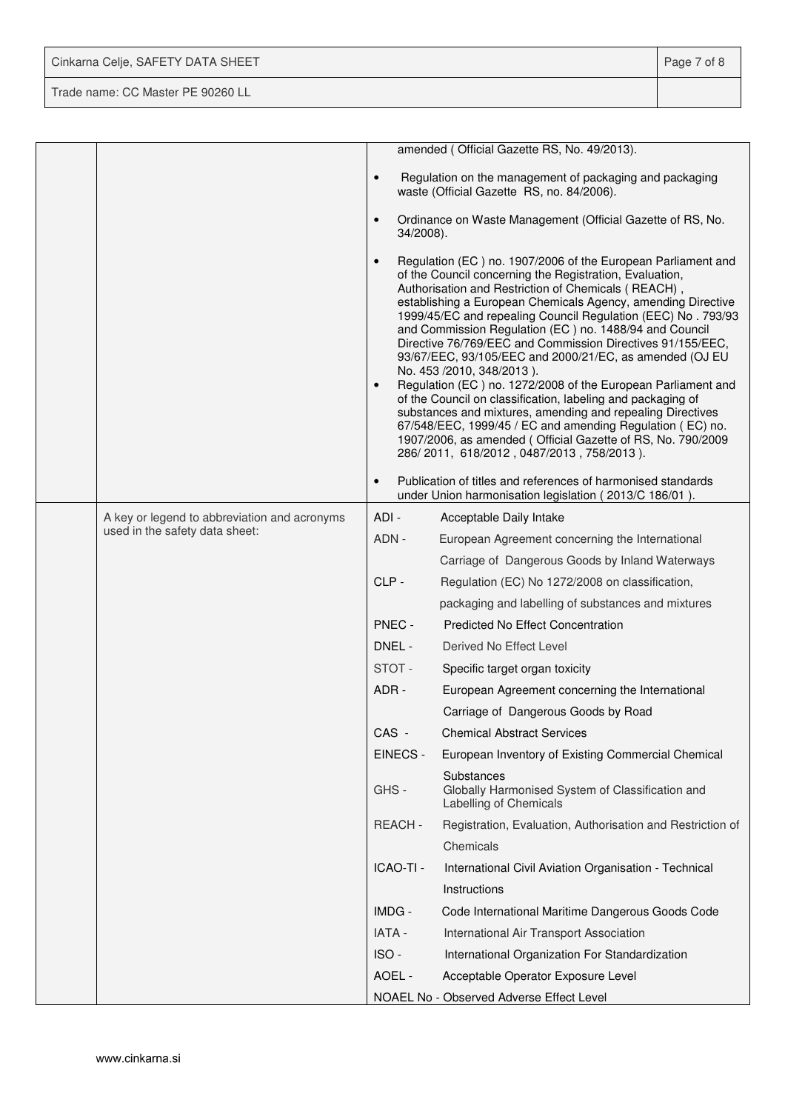| Cinkarna Celje, SAFETY DATA SHEET | Page 7 of 8 |
|-----------------------------------|-------------|
| Trade name: CC Master PE 90260 LL |             |

|                                              |                        | amended (Official Gazette RS, No. 49/2013).                                                                                                                                                                                                                                                                                                                                                                                                                                                                                                                                                                                                                                                                                                                                                                                                                                                          |
|----------------------------------------------|------------------------|------------------------------------------------------------------------------------------------------------------------------------------------------------------------------------------------------------------------------------------------------------------------------------------------------------------------------------------------------------------------------------------------------------------------------------------------------------------------------------------------------------------------------------------------------------------------------------------------------------------------------------------------------------------------------------------------------------------------------------------------------------------------------------------------------------------------------------------------------------------------------------------------------|
|                                              | $\bullet$              | Regulation on the management of packaging and packaging<br>waste (Official Gazette RS, no. 84/2006).                                                                                                                                                                                                                                                                                                                                                                                                                                                                                                                                                                                                                                                                                                                                                                                                 |
|                                              | $\bullet$<br>34/2008). | Ordinance on Waste Management (Official Gazette of RS, No.                                                                                                                                                                                                                                                                                                                                                                                                                                                                                                                                                                                                                                                                                                                                                                                                                                           |
|                                              | $\bullet$<br>$\bullet$ | Regulation (EC) no. 1907/2006 of the European Parliament and<br>of the Council concerning the Registration, Evaluation,<br>Authorisation and Restriction of Chemicals (REACH),<br>establishing a European Chemicals Agency, amending Directive<br>1999/45/EC and repealing Council Regulation (EEC) No. 793/93<br>and Commission Regulation (EC) no. 1488/94 and Council<br>Directive 76/769/EEC and Commission Directives 91/155/EEC,<br>93/67/EEC, 93/105/EEC and 2000/21/EC, as amended (OJ EU<br>No. 453 /2010, 348/2013).<br>Regulation (EC) no. 1272/2008 of the European Parliament and<br>of the Council on classification, labeling and packaging of<br>substances and mixtures, amending and repealing Directives<br>67/548/EEC, 1999/45 / EC and amending Regulation (EC) no.<br>1907/2006, as amended (Official Gazette of RS, No. 790/2009<br>286/2011, 618/2012, 0487/2013, 758/2013). |
|                                              | $\bullet$              | Publication of titles and references of harmonised standards<br>under Union harmonisation legislation (2013/C 186/01).                                                                                                                                                                                                                                                                                                                                                                                                                                                                                                                                                                                                                                                                                                                                                                               |
| A key or legend to abbreviation and acronyms | ADI-                   | Acceptable Daily Intake                                                                                                                                                                                                                                                                                                                                                                                                                                                                                                                                                                                                                                                                                                                                                                                                                                                                              |
| used in the safety data sheet:               | ADN -                  | European Agreement concerning the International                                                                                                                                                                                                                                                                                                                                                                                                                                                                                                                                                                                                                                                                                                                                                                                                                                                      |
|                                              |                        | Carriage of Dangerous Goods by Inland Waterways                                                                                                                                                                                                                                                                                                                                                                                                                                                                                                                                                                                                                                                                                                                                                                                                                                                      |
|                                              | CLP-                   | Regulation (EC) No 1272/2008 on classification,                                                                                                                                                                                                                                                                                                                                                                                                                                                                                                                                                                                                                                                                                                                                                                                                                                                      |
|                                              |                        | packaging and labelling of substances and mixtures                                                                                                                                                                                                                                                                                                                                                                                                                                                                                                                                                                                                                                                                                                                                                                                                                                                   |
|                                              | PNEC -                 | <b>Predicted No Effect Concentration</b>                                                                                                                                                                                                                                                                                                                                                                                                                                                                                                                                                                                                                                                                                                                                                                                                                                                             |
|                                              | DNEL -                 | Derived No Effect Level                                                                                                                                                                                                                                                                                                                                                                                                                                                                                                                                                                                                                                                                                                                                                                                                                                                                              |
|                                              | STOT-                  | Specific target organ toxicity                                                                                                                                                                                                                                                                                                                                                                                                                                                                                                                                                                                                                                                                                                                                                                                                                                                                       |
|                                              | ADR -                  | European Agreement concerning the International                                                                                                                                                                                                                                                                                                                                                                                                                                                                                                                                                                                                                                                                                                                                                                                                                                                      |
|                                              |                        | Carriage of Dangerous Goods by Road                                                                                                                                                                                                                                                                                                                                                                                                                                                                                                                                                                                                                                                                                                                                                                                                                                                                  |
|                                              | CAS -                  | <b>Chemical Abstract Services</b>                                                                                                                                                                                                                                                                                                                                                                                                                                                                                                                                                                                                                                                                                                                                                                                                                                                                    |
|                                              | EINECS -               | European Inventory of Existing Commercial Chemical                                                                                                                                                                                                                                                                                                                                                                                                                                                                                                                                                                                                                                                                                                                                                                                                                                                   |
|                                              | GHS-                   | Substances<br>Globally Harmonised System of Classification and<br>Labelling of Chemicals                                                                                                                                                                                                                                                                                                                                                                                                                                                                                                                                                                                                                                                                                                                                                                                                             |
|                                              | REACH-                 | Registration, Evaluation, Authorisation and Restriction of                                                                                                                                                                                                                                                                                                                                                                                                                                                                                                                                                                                                                                                                                                                                                                                                                                           |
|                                              |                        | Chemicals                                                                                                                                                                                                                                                                                                                                                                                                                                                                                                                                                                                                                                                                                                                                                                                                                                                                                            |
|                                              | ICAO-TI -              | International Civil Aviation Organisation - Technical                                                                                                                                                                                                                                                                                                                                                                                                                                                                                                                                                                                                                                                                                                                                                                                                                                                |
|                                              |                        | Instructions                                                                                                                                                                                                                                                                                                                                                                                                                                                                                                                                                                                                                                                                                                                                                                                                                                                                                         |
|                                              | IMDG -                 | Code International Maritime Dangerous Goods Code                                                                                                                                                                                                                                                                                                                                                                                                                                                                                                                                                                                                                                                                                                                                                                                                                                                     |
|                                              | <b>IATA -</b>          | International Air Transport Association                                                                                                                                                                                                                                                                                                                                                                                                                                                                                                                                                                                                                                                                                                                                                                                                                                                              |
|                                              | ISO-                   | International Organization For Standardization                                                                                                                                                                                                                                                                                                                                                                                                                                                                                                                                                                                                                                                                                                                                                                                                                                                       |
|                                              | AOEL -                 | Acceptable Operator Exposure Level                                                                                                                                                                                                                                                                                                                                                                                                                                                                                                                                                                                                                                                                                                                                                                                                                                                                   |
|                                              |                        | NOAEL No - Observed Adverse Effect Level                                                                                                                                                                                                                                                                                                                                                                                                                                                                                                                                                                                                                                                                                                                                                                                                                                                             |